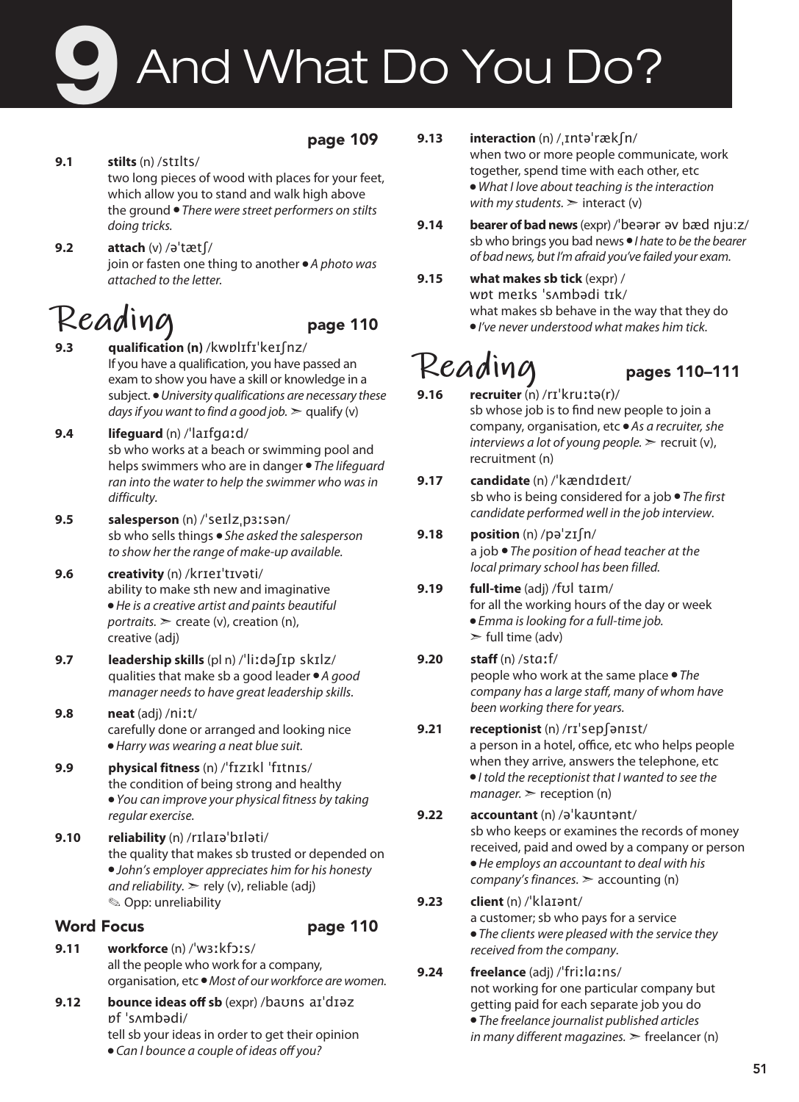# And What Do You Do?

### page 109

- **9.1 stilts** (n) /stɪlts/ two long pieces of wood with places for your feet, which allow you to stand and walk high above the ground ● *There were street performers on stilts doing tricks.*
- **9.2 attach** (v) /əˈtætʃ/ join or fasten one thing to another ● *A photo was attached to the letter.*

- Reading<br>9.3 gualification (n) /kwpl1f1<sup>'</sup>ker (nz/ **9.3 qualification (n)** /kwɒlɪfɪˈkeɪʃnz/ If you have a qualification, you have passed an exam to show you have a skill or knowledge in a subject. ● *University qualifications are necessary these days if you want to find a good job.*  $\geq$  qualify (y)
- **9.4 lifeguard** (n) /ˈlaɪfgɑːd/ sb who works at a beach or swimming pool and helps swimmers who are in danger ● *The lifeguard ran into the water to help the swimmer who was in difficulty.*
- **9.5 salesperson** (n) /ˈseɪlzˌpɜːsən/ sb who sells things ● *She asked the salesperson to show her the range of make-up available.*
- **9.6 creativity** (n) /krɪeɪˈtɪvəti/ ability to make sth new and imaginative ● *He is a creative artist and paints beautiful portraits.* ➣ create (v), creation (n), creative (adj)
- **9.7 leadership skills** (pl n) /ˈliːdəʃɪp skɪlz/ qualities that make sb a good leader ● *A good manager needs to have great leadership skills.*
- **9.8 neat** (adj) /niːt/ carefully done or arranged and looking nice ● *Harry was wearing a neat blue suit.*
- **9.9 physical fitness** (n) /ˈfɪzɪkl ˈfɪtnɪs/ the condition of being strong and healthy ● *You can improve your physical fitness by taking regular exercise.*
- **9.10 reliability** (n) /rɪlaɪəˈbɪləti/ the quality that makes sb trusted or depended on ● *John's employer appreciates him for his honesty and reliability.*  $>$  rely (v), reliable (adj) ✎ Opp: unreliability

### Word Focus **page 110**

- **9.11 workforce** (n) /ˈwɜːkfɔːs/ all the people who work for a company, organisation, etc ● *Most of our workforce are women.*
- **9.12 bounce ideas off sb** (expr) /baʊns aɪˈdɪəz ɒf ˈsʌmbədi/ tell sb your ideas in order to get their opinion ● *Can I bounce a couple of ideas off you?*
- **9.13 interaction** (n) /ˌɪntəˈrækʃn/ when two or more people communicate, work together, spend time with each other, etc ● *What I love about teaching is the interaction with my students.*  $\geq$  interact (v)
- **9.14 bearer of bad news** (expr) /ˈbeərər əv bæd nju:z/ sb who brings you bad news ● *I hate to be the bearer of bad news, but I'm afraid you've failed your exam.*
- **9.15 what makes sb tick** (expr) / wɒt meɪks ˈsʌmbədi tɪk/ what makes sb behave in the way that they do ● *I've never understood what makes him tick.*

- $\text{Re}$ ading<br>9.16 recruiter (n) /rɪ'kruːtə(r)/ **9.16 recruiter** (n) /rɪˈkruːtə(r)/ sb whose job is to find new people to join a company, organisation, etc ● *As a recruiter, she interviews a lot of young people.* > recruit (v), recruitment (n)
- **9.17 candidate** (n) /ˈkændɪdeɪt/ sb who is being considered for a job ● *The first candidate performed well in the job interview.*
- **9.18 position** (n) /pəˈzɪʃn/ a job ● *The position of head teacher at the local primary school has been filled.*

### **9.19 full-time** (adj) /fʊl taɪm/ for all the working hours of the day or week ● *Emma is looking for a full-time job.*   $\ge$  full time (adv)

- **9.20 staff** (n) /stɑːf/ people who work at the same place ● *The company has a large staff, many of whom have been working there for years.*
- **9.21 receptionist** (n) /rɪˈsepʃənɪst/ a person in a hotel, office, etc who helps people when they arrive, answers the telephone, etc ● *I told the receptionist that I wanted to see the manager.* > reception (n)
- **9.22 accountant** (n) /əˈkaʊntənt/ sb who keeps or examines the records of money received, paid and owed by a company or person ● *He employs an accountant to deal with his company's finances.* ➣ accounting (n)

### **9.23 client** (n) /ˈklaɪənt/ a customer; sb who pays for a service ● *The clients were pleased with the service they*

*received from the company.*

**9.24 freelance** (adj) /ˈfriːlɑːns/ not working for one particular company but getting paid for each separate job you do ● *The freelance journalist published articles in many different magazines.* ➣ freelancer (n)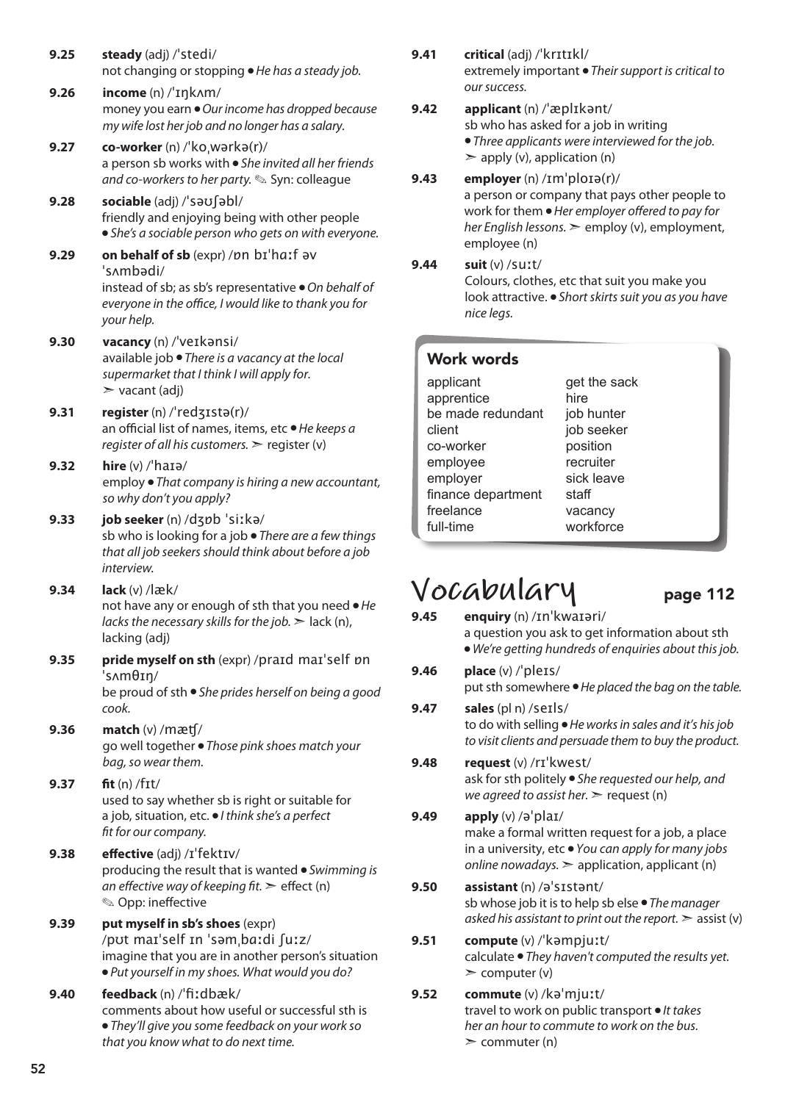- **9.25 steady** (adj) /ˈstedi/ not changing or stopping ● *He has a steady job.*
- **9.26 income** (n) /ˈɪŋkʌm/ money you earn ● *Our income has dropped because my wife lost her job and no longer has a salary.*
- **9.27 co-worker** (n) /ˈkoˌwərkə(r)/ a person sb works with ● *She invited all her friends and co-workers to her party.* ✎ Syn: colleague
- **9.28 sociable** (adj) /ˈsəʊʃəbl/ friendly and enjoying being with other people ● *She's a sociable person who gets on with everyone.*
- **9.29 on behalf of sb** (expr) /ɒn bɪˈhɑːf əv ˈsʌmbədi/ instead of sb; as sb's representative ● *On behalf of everyone in the office, I would like to thank you for your help.*
- **9.30 vacancy** (n) /ˈveɪkənsi/ available job ● *There is a vacancy at the local supermarket that I think I will apply for.*  $\triangleright$  vacant (adj)
- **9.31 register** (n) /ˈredʒɪstə(r)/ an official list of names, items, etc ● *He keeps a register of all his customers.* ➣ register (v)
- **9.32 hire** (v) /ˈhaɪə/ employ ● *That company is hiring a new accountant, so why don't you apply?*
- **9.33 job seeker** (n) /dʒɒb ˈsiːkə/ sb who is looking for a job ● *There are a few things that all job seekers should think about before a job interview.*
- **9.34 lack** (v) /læk/ not have any or enough of sth that you need ● *He lacks the necessary skills for the job.* ➣ lack (n), lacking (adj)
- **9.35 pride myself on sth** (expr) /praɪd maɪˈself ɒn ˈsʌmθɪŋ/ be proud of sth ● *She prides herself on being a good cook.*
- **9.36 match** (v) /mæʧ/ go well together ● *Those pink shoes match your bag, so wear them.*
- **9.37 fit** (n) /fɪt/ used to say whether sb is right or suitable for a job, situation, etc. ● *I think she's a perfect fit for our company.*
- **9.38 effective** (adj) /ɪˈfektɪv/ producing the result that is wanted ● *Swimming is an effective way of keeping fit.* ➣ effect (n) ✎ Opp: ineffective
- **9.39 put myself in sb's shoes** (expr) /pʊt maɪˈself ɪn ˈsəmˌbɑːdi ʃuːz/ imagine that you are in another person's situation ● *Put yourself in my shoes. What would you do?*
- **9.40 feedback** (n) /ˈfiːdbæk/ comments about how useful or successful sth is ● *They'll give you some feedback on your work so that you know what to do next time.*

**9.41 critical** (adj) /ˈkrɪtɪkl/

extremely important ● *Their support is critical to our success.* 

### **9.42 applicant** (n) /ˈæplɪkənt/

sb who has asked for a job in writing

● *Three applicants were interviewed for the job.*

 $\geq$  apply (v), application (n)

**9.43 employer** (n) /ɪmˈploɪə(r)/ a person or company that pays other people to work for them ● *Her employer offered to pay for her English lessons.* ➣ employ (v), employment, employee (n)

**9.44 suit** (v) /suːt/

Colours, clothes, etc that suit you make you look attractive. ● *Short skirts suit you as you have nice legs.*

### Work words

| applicant          | get the sack |
|--------------------|--------------|
| apprentice         | hire         |
| be made redundant  | job hunter   |
| client             | job seeker   |
| co-worker          | position     |
| employee           | recruiter    |
| employer           | sick leave   |
| finance department | staff        |
| freelance          | vacancy      |
| full-time          | workforce    |

## $Vocabular$ <br> **9.45** enguiry (n) /In kwaiari/

- **9.45 enquiry** (n) /ɪnˈkwaɪəri/ a question you ask to get information about sth ● *We're getting hundreds of enquiries about this job.*
- **9.46 place** (v) /ˈpleɪs/ put sth somewhere ● *He placed the bag on the table.*
- **9.47 sales** (pl n) /seɪls/ to do with selling ● *He works in sales and it's his job to visit clients and persuade them to buy the product.*
- **9.48 request** (v) /rɪˈkwest/ ask for sth politely ● *She requested our help, and we agreed to assist her.* > request (n)
- **9.49 apply** (v) /əˈplaɪ/ make a formal written request for a job, a place in a university, etc ● *You can apply for many jobs online nowadays.* ➣ application, applicant (n)
- **9.50 assistant** (n) /əˈsɪstənt/ sb whose job it is to help sb else ● *The manager asked his assistant to print out the report.*  $\geq$  assist (v)
- **9.51 compute** (v) /ˈkəmpjuːt/ calculate ● *They haven't computed the results yet.*   $\geq$  computer (v)
- **9.52 commute** (v) /kəˈmjuːt/ travel to work on public transport ● *It takes her an hour to commute to work on the bus.*   $\geq$  commuter (n)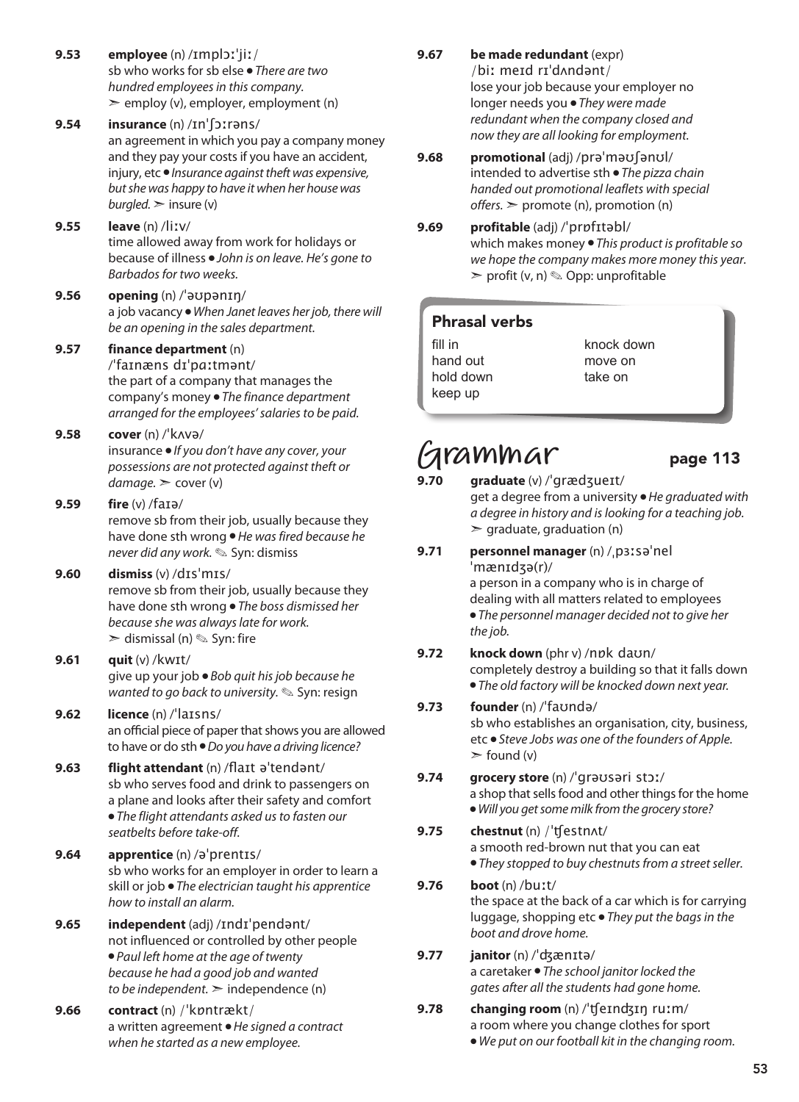- **9.53 employee** (n) /ɪmplɔːˈjiː/ sb who works for sb else ● *There are two hundred employees in this company.*   $\geq$  employ (v), employer, employment (n)
- **9.54 insurance** (n) /ɪnˈʃɔːrəns/ an agreement in which you pay a company money and they pay your costs if you have an accident, injury, etc ● *Insurance against theft was expensive, but she was happy to have it when her house was*   $burpled.$   $\ge$  insure (v)
- **9.55 leave** (n) /liːv/ time allowed away from work for holidays or because of illness ● *John is on leave. He's gone to Barbados for two weeks.*
- **9.56 opening** (n) /ˈəʊpənɪŋ/ a job vacancy ● *When Janet leaves her job, there will be an opening in the sales department.*

### **9.57 finance department** (n)

/ˈfaɪnæns dɪˈpɑːtmənt/ the part of a company that manages the company's money ● *The finance department arranged for the employees' salaries to be paid.*

**9.58 cover** (n) /ˈkʌvə/

insurance ● *If you don't have any cover, your possessions are not protected against theft or damage.* ➣ cover (v)

### **9.59 fire** (v) /faɪə/

remove sb from their job, usually because they have done sth wrong ● *He was fired because he never did any work.* ✎ Syn: dismiss

### **9.60 dismiss** (v) /dɪsˈmɪs/ remove sb from their job, usually because they have done sth wrong ● *The boss dismissed her because she was always late for work.*

 $\ge$  dismissal (n)  $\otimes$  Syn: fire

**9.61 quit** (v) /kwɪt/ give up your job ● *Bob quit his job because he wanted to go back to university.* ✎ Syn: resign

### **9.62 licence** (n) /ˈlaɪsns/

an official piece of paper that shows you are allowed to have or do sth ● *Do you have a driving licence?*

- **9.63 flight attendant** (n) /flaɪt əˈtendənt/ sb who serves food and drink to passengers on a plane and looks after their safety and comfort ● *The flight attendants asked us to fasten our* 
	- *seatbelts before take-off.*
- **9.64 apprentice** (n) /əˈprentɪs/ sb who works for an employer in order to learn a skill or job ● *The electrician taught his apprentice how to install an alarm.*
- **9.65 independent** (adj) /ɪndɪˈpendənt/ not influenced or controlled by other people ● *Paul left home at the age of twenty because he had a good job and wanted to be independent.*  $\geq$  independence (n)
- **9.66 contract** (n) /ˈkɒntrækt/ a written agreement ● *He signed a contract when he started as a new employee.*

**9.67 be made redundant** (expr)

/biː meɪd rɪˈdʌndənt/ lose your job because your employer no longer needs you ● *They were made redundant when the company closed and now they are all looking for employment.*

- **9.68 promotional** (adj) /prəˈməʊʃənʊl/ intended to advertise sth ● *The pizza chain handed out promotional leaflets with special offers.* ➣ promote (n), promotion (n)
- **9.69 profitable** (adj) /ˈprɒfɪtəbl/ which makes money ● *This product is profitable so we hope the company makes more money this year.*  $\triangleright$  profit (v, n)  $\otimes$  Opp: unprofitable

### Phrasal verbs

fill in hand out hold down keep up

knock down move on take on

## **Grammar** page 113

- **9.70 graduate** (v) /ˈgrædʒueɪt/ get a degree from a university ● *He graduated with a degree in history and is looking for a teaching job.*  $\ge$  graduate, graduation (n)
- **9.71 personnel manager** (n) /ˌpɜːsəˈnel ˈmænɪdʒə(r)/ a person in a company who is in charge of dealing with all matters related to employees ● *The personnel manager decided not to give her the job.*
- **9.72 knock down** (phr v) /nɒk daʊn/ completely destroy a building so that it falls down ● *The old factory will be knocked down next year.*
- **9.73 founder** (n) /ˈfaʊndə/ sb who establishes an organisation, city, business, etc ● *Steve Jobs was one of the founders of Apple.*  $\ge$  found (v)
- **9.74 grocery store** (n) /ˈɡrəʊsəri stɔː/ a shop that sells food and other things for the home ● *Will you get some milk from the grocery store?*
- **9.75 chestnut** (n) /ˈʧestnʌt/ a smooth red-brown nut that you can eat ● *They stopped to buy chestnuts from a street seller.*
- **9.76 boot** (n) /buːt/ the space at the back of a car which is for carrying luggage, shopping etc ● *They put the bags in the boot and drove home.*
- **9.77 janitor** (n) /ˈʤænɪtə/ a caretaker ● *The school janitor locked the gates after all the students had gone home.*
- **9.78 changing room** (n) /ˈʧeɪnʤɪŋ ruːm/ a room where you change clothes for sport ● *We put on our football kit in the changing room.*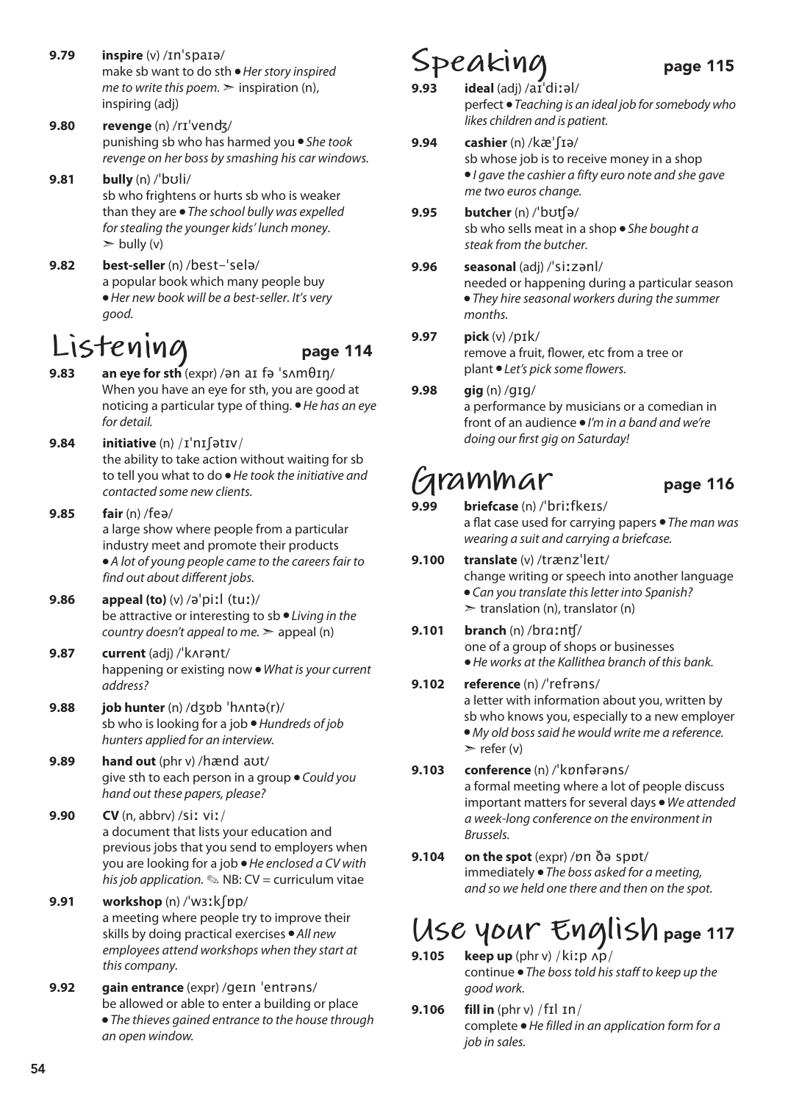- **9.79 inspire** (v) /ɪnˈspaɪə/ make sb want to do sth ● *Her story inspired me to write this poem.*  $\geq$  inspiration (n), inspiring (adj)
- **9.80 revenge** (n) /rɪˈvenʤ/ punishing sb who has harmed you ● *She took revenge on her boss by smashing his car windows.*
- **9.81 bully** (n) /ˈbʊli/ sb who frightens or hurts sb who is weaker than they are ● *The school bully was expelled for stealing the younger kids' lunch money.*  $\ge$  bully (v)
- **9.82 best-seller** (n) /best-ˈselə/ a popular book which many people buy ● *Her new book will be a best-seller. It's very good.*

### **Listening** page 114

- **9.83 an eye for sth** (expr) /ən aɪ fə ˈsʌmθɪŋ/ When you have an eye for sth, you are good at noticing a particular type of thing. ● *He has an eye for detail.*
- **9.84 initiative** (n) /ɪˈnɪʃətɪv/ the ability to take action without waiting for sb to tell you what to do ● *He took the initiative and contacted some new clients.*
- **9.85 fair** (n) /feə/ a large show where people from a particular industry meet and promote their products ● *A lot of young people came to the careers fair to find out about different jobs.*
- **9.86 appeal (to)** (v) /əˈpiːl (tuː)/ be attractive or interesting to sb ● *Living in the country doesn't appeal to me.* ➣ appeal (n)
- **9.87 current** (adj) /ˈkʌrənt/ happening or existing now ● *What is your current address?*
- **9.88 job hunter** (n) /dʒɒb ˈhʌntə(r)/ sb who is looking for a job ● *Hundreds of job hunters applied for an interview.*
- **9.89 hand out** (phr v) /hænd aʊt/ give sth to each person in a group ● *Could you hand out these papers, please?*
- **9.90 CV** (n, abbrv) /siː viː/ a document that lists your education and previous jobs that you send to employers when you are looking for a job ● *He enclosed a CV with his job application.* ✎ NB: CV = curriculum vitae
- **9.91 workshop** (n) /ˈwɜːkʃɒp/ a meeting where people try to improve their skills by doing practical exercises ● *All new employees attend workshops when they start at this company.*
- **9.92 gain entrance** (expr) /ɡeɪn ˈentrəns/ be allowed or able to enter a building or place ● *The thieves gained entrance to the house through an open window.*

## Speaking page 115

- **9.93 ideal** (adj) /aɪˈdiːəl/ perfect ● *Teaching is an ideal job for somebody who likes children and is patient.*
- **9.94 cashier** (n) /kæˈʃɪə/ sb whose job is to receive money in a shop ● *I gave the cashier a fifty euro note and she gave me two euros change.*
- **9.95 butcher** (n) /ˈbʊʧə/ sb who sells meat in a shop ● *She bought a steak from the butcher.*
- **9.96 seasonal** (adj) /ˈsiːzənl/ needed or happening during a particular season ● *They hire seasonal workers during the summer months.*
- **9.97 pick** (v) /pɪk/ remove a fruit, flower, etc from a tree or plant ● *Let's pick some flowers.*
- **9.98 gig** (n) /ɡɪɡ/ a performance by musicians or a comedian in front of an audience ● *I'm in a band and we're doing our first gig on Saturday!*

## **Grammar** page 116

- **9.99 briefcase** (n) /ˈbriːfkeɪs/ a flat case used for carrying papers ● *The man was wearing a suit and carrying a briefcase.*
- **9.100 translate** (v) /trænzˈleɪt/ change writing or speech into another language ● *Can you translate this letter into Spanish?*   $\triangleright$  translation (n), translator (n)
- **9.101 branch** (n) /brɑːnʧ/ one of a group of shops or businesses ● *He works at the Kallithea branch of this bank.*
- **9.102 reference** (n) /ˈrefrəns/ a letter with information about you, written by sb who knows you, especially to a new employer ● *My old boss said he would write me a reference.*   $\ge$  refer (v)
- **9.103 conference** (n) /ˈkɒnfərəns/ a formal meeting where a lot of people discuss important matters for several days ● *We attended a week-long conference on the environment in Brussels.*
- **9.104 on the spot** (expr) /ɒn ðə spɒt/ immediately ● *The boss asked for a meeting, and so we held one there and then on the spot.*

### **Use your English** page 117 **9.105 keep up** (phr v) /kiːp ʌp/

continue ● *The boss told his staff to keep up the good work.*

**9.106 fill in** (phr v) /fɪl ɪn/ complete ● *He filled in an application form for a job in sales.*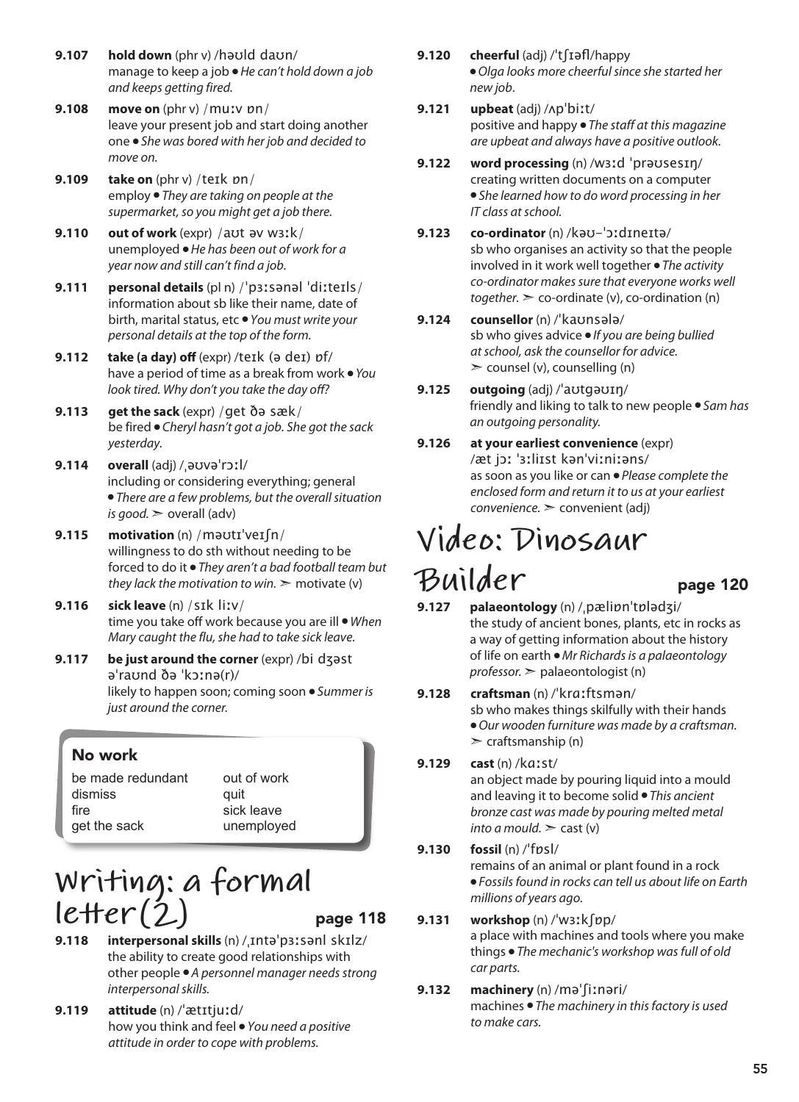- **9.107 hold down** (phr v) /həʊld daʊn/ manage to keep a job ● *He can't hold down a job and keeps getting fired.*
- **9.108 move on** (phr v) /muːv ɒn/ leave your present job and start doing another one ● *She was bored with her job and decided to move on.*
- **9.109 take on** (phr v) /teɪk ɒn/ employ ● *They are taking on people at the supermarket, so you might get a job there.*
- **9.110 out of work** (expr) /aʊt əv wɜːk/ unemployed ● *He has been out of work for a year now and still can't find a job.*
- **9.111 personal details** (pl n) /ˈpɜːsənəl ˈdiːteɪls/ information about sb like their name, date of birth, marital status, etc ● *You must write your personal details at the top of the form.*
- **9.112 take (a day) off** (expr) /teɪk (ə deɪ) ɒf/ have a period of time as a break from work ● *You look tired. Why don't you take the day off?*
- **9.113 get the sack** (expr) /get ðə sæk/ be fired ● *Cheryl hasn't got a job. She got the sack yesterday.*
- **9.114 overall** (adj) /ˌəʊvəˈrɔːl/ including or considering everything; general ● *There are a few problems, but the overall situation is good.*  $\geq$  overall (adv)
- **9.115 motivation** (n) /məʊtɪˈveɪʃn/ willingness to do sth without needing to be forced to do it ● *They aren't a bad football team but they lack the motivation to win.*  $\geq$  motivate (v)
- **9.116 sick leave** (n) /sɪk liːv/ time you take off work because you are ill ● *When Mary caught the flu, she had to take sick leave.*
- **9.117 be just around the corner** (expr) /bi dʒəst əˈraʊnd ðə ˈkɔːnə(r)/ likely to happen soon; coming soon ● *Summer is just around the corner.*

### No work

be made redundant dismiss fire get the sack

out of work quit sick leave unemployed

## **Writing: a formal letter(2)** page 118

- **9.118 interpersonal skills** (n) /ˌɪntəˈpɜːsənl skɪlz/ the ability to create good relationships with other people ● *A personnel manager needs strong interpersonal skills.*
- **9.119 attitude** (n) /ˈætɪtjuːd/ how you think and feel ● *You need a positive attitude in order to cope with problems.*

**9.120 cheerful** (adj) /ˈtʃɪəfl/happy

● *Olga looks more cheerful since she started her new job*.

- **9.121 upbeat** (adj) /ʌpˈbiːt/ positive and happy ● *The staff at this magazine are upbeat and always have a positive outlook.*
- **9.122 word processing** (n) /wɜːd ˈprəʊsesɪŋ/ creating written documents on a computer ● *She learned how to do word processing in her IT class at school.*
- **9.123 co-ordinator** (n) /kəʊ-ˈɔːdɪneɪtə/ sb who organises an activity so that the people involved in it work well together ● *The activity co-ordinator makes sure that everyone works well*   $together.$   $\geq$  co-ordinate (v), co-ordination (n)
- **9.124 counsellor** (n) /ˈkaʊnsələ/ sb who gives advice ● *If you are being bullied at school, ask the counsellor for advice.*  $\geq$  counsel (v), counselling (n)
- **9.125 outgoing** (adj) /ˈaʊtɡəʊɪŋ/ friendly and liking to talk to new people ● *Sam has an outgoing personality.*
- **9.126 at your earliest convenience** (expr) /æt jɔː ˈɜːliɪst kənˈviːniːəns/ as soon as you like or can ● *Please complete the enclosed form and return it to us at your earliest convenience.* ➣ convenient (adj)

## **Video: Dinosaur**   $\n *Bu*$ *i*  $der$  page 120<br>
9.127 palaeontology (n) / pælipp<sup>1</sup>tpladzi/

- **9.127 palaeontology** (n) /ˌpæliɒnˈtɒlədʒi/ the study of ancient bones, plants, etc in rocks as a way of getting information about the history of life on earth ● *Mr Richards is a palaeontology professor.* ➣ palaeontologist (n)
- **9.128 craftsman** (n) /ˈkrɑːftsmən/ sb who makes things skilfully with their hands ● *Our wooden furniture was made by a craftsman.*  $\geq$  craftsmanship (n)

### **9.129 cast** (n) /kɑːst/

an object made by pouring liquid into a mould and leaving it to become solid ● *This ancient bronze cast was made by pouring melted metal into a mould.*  $\geq$  cast (v)

**9.130 fossil** (n) /ˈfɒsl/ remains of an animal or plant found in a rock ● *Fossils found in rocks can tell us about life on Earth millions of years ago.*

### **9.131 workshop** (n) /ˈwɜːkʃɒp/

a place with machines and tools where you make things ● *The mechanic's workshop was full of old car parts.*

### **9.132 machinery** (n) /məˈʃiːnəri/

machines ● *The machinery in this factory is used to make cars.*